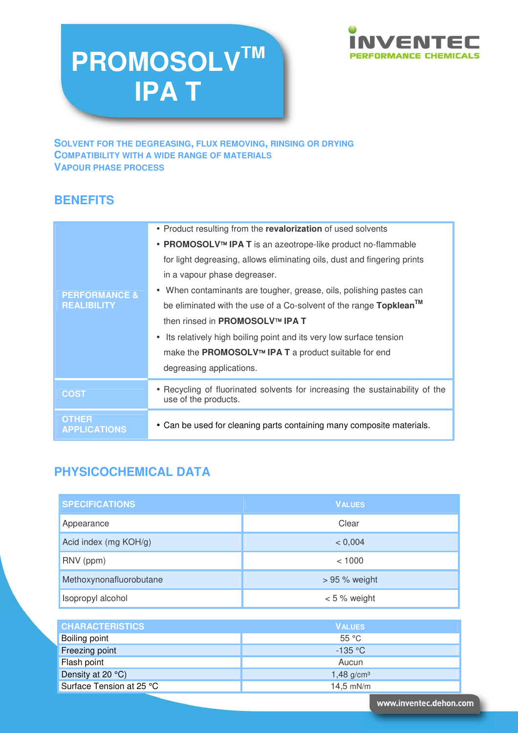# **PROMOSOLVTM IPA T**



**SOLVENT FOR THE DEGREASING, FLUX REMOVING, RINSING OR DRYING COMPATIBILITY WITH A WIDE RANGE OF MATERIALS VAPOUR PHASE PROCESS** 

# **BENEFITS**

| <b>PERFORMANCE &amp;</b><br><b>REALIBILITY</b> | • Product resulting from the revalorization of used solvents<br>• PROMOSOLV <sup>™</sup> IPA T is an azeotrope-like product no-flammable<br>for light degreasing, allows eliminating oils, dust and fingering prints<br>in a vapour phase degreaser.<br>• When contaminants are tougher, grease, oils, polishing pastes can<br>be eliminated with the use of a Co-solvent of the range Topklean™<br>then rinsed in <b>PROMOSOLV™ IPA T</b><br>Its relatively high boiling point and its very low surface tension<br>$\bullet$<br>make the PROMOSOLV™ IPA T a product suitable for end<br>degreasing applications. |
|------------------------------------------------|-------------------------------------------------------------------------------------------------------------------------------------------------------------------------------------------------------------------------------------------------------------------------------------------------------------------------------------------------------------------------------------------------------------------------------------------------------------------------------------------------------------------------------------------------------------------------------------------------------------------|
| <b>COST</b>                                    | • Recycling of fluorinated solvents for increasing the sustainability of the<br>use of the products.                                                                                                                                                                                                                                                                                                                                                                                                                                                                                                              |
| <b>OTHER</b><br><b>APPLICATIONS</b>            | • Can be used for cleaning parts containing many composite materials.                                                                                                                                                                                                                                                                                                                                                                                                                                                                                                                                             |

# **PHYSICOCHEMICAL DATA**

| <b>SPECIFICATIONS</b>    | <b>VALUES</b>            |  |  |
|--------------------------|--------------------------|--|--|
| Appearance               | Clear                    |  |  |
| Acid index (mg KOH/g)    | < 0,004                  |  |  |
| RNV (ppm)                | < 1000                   |  |  |
| Methoxynonafluorobutane  | $> 95 %$ weight          |  |  |
| Isopropyl alcohol        | $< 5 %$ weight           |  |  |
|                          |                          |  |  |
| <b>CHARACTERISTICS</b>   | <b>VALUES</b>            |  |  |
| Boiling point            | 55 °C                    |  |  |
| Freezing point           | $-135 °C$                |  |  |
| Flash point              | Aucun                    |  |  |
| Density at 20 °C)        | $1,48$ g/cm <sup>3</sup> |  |  |
| Surface Tension at 25 °C | $14,5$ mN/m              |  |  |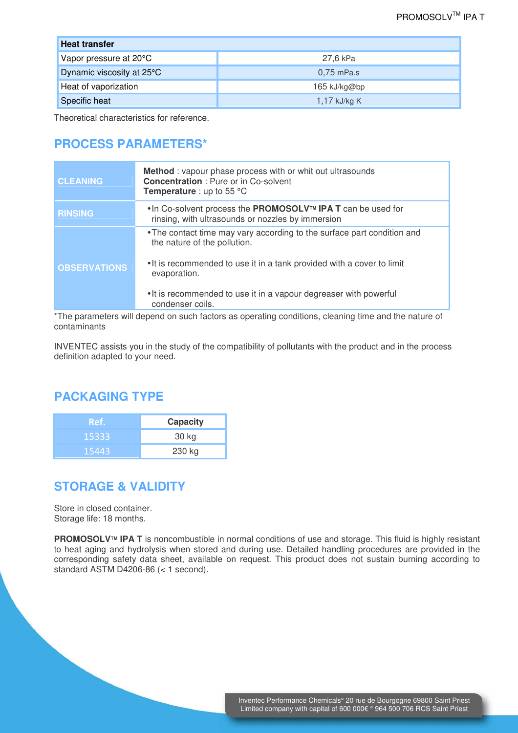| <b>Heat transfer</b>      |                |  |  |  |
|---------------------------|----------------|--|--|--|
| Vapor pressure at 20°C    | 27.6 kPa       |  |  |  |
| Dynamic viscosity at 25°C | $0.75$ mPa.s   |  |  |  |
| Heat of vaporization      | $165$ kJ/kg@bp |  |  |  |
| Specific heat             | 1,17 kJ/kg K   |  |  |  |

Theoretical characteristics for reference.

#### **PROCESS PARAMETERS\***

| <b>CLEANING</b>     | <b>Method</b> : vapour phase process with or whit out ultrasounds<br><b>Concentration: Pure or in Co-solvent</b><br><b>Temperature</b> : up to 55 $^{\circ}$ C                                                                                                                             |
|---------------------|--------------------------------------------------------------------------------------------------------------------------------------------------------------------------------------------------------------------------------------------------------------------------------------------|
| <b>RINSING</b>      | • In Co-solvent process the PROMOSOLV™ IPA T can be used for<br>rinsing, with ultrasounds or nozzles by immersion                                                                                                                                                                          |
| <b>OBSERVATIONS</b> | • The contact time may vary according to the surface part condition and<br>the nature of the pollution.<br>• It is recommended to use it in a tank provided with a cover to limit<br>evaporation.<br>• It is recommended to use it in a vapour degreaser with powerful<br>condenser coils. |

\*The parameters will depend on such factors as operating conditions, cleaning time and the nature of contaminants

INVENTEC assists you in the study of the compatibility of pollutants with the product and in the process definition adapted to your need.

#### **PACKAGING TYPE**

| Ref.  | Capacity |  |
|-------|----------|--|
| 15333 | 30 kg    |  |
| 15443 | 230 kg   |  |

#### **STORAGE & VALIDITY**

Store in closed container. Storage life: 18 months.

**PROMOSOLV<sup>IM</sup>** IPA T is noncombustible in normal conditions of use and storage. This fluid is highly resistant to heat aging and hydrolysis when stored and during use. Detailed handling procedures are provided in the corresponding safety data sheet, available on request. This product does not sustain burning according to standard ASTM D4206-86 (< 1 second).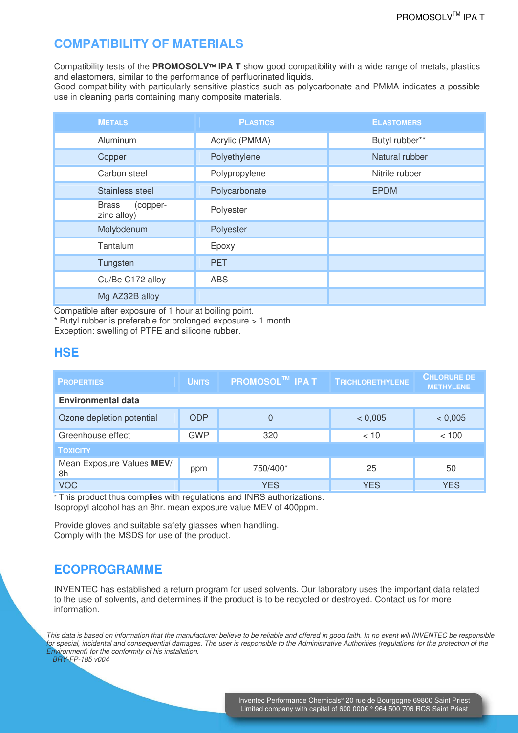# **COMPATIBILITY OF MATERIALS**

Compatibility tests of the **PROMOSOLV IPA T** show good compatibility with a wide range of metals, plastics and elastomers, similar to the performance of perfluorinated liquids.

Good compatibility with particularly sensitive plastics such as polycarbonate and PMMA indicates a possible use in cleaning parts containing many composite materials.

| <b>METALS</b>                           | <b>PLASTICS</b> | <b>ELASTOMERS</b> |
|-----------------------------------------|-----------------|-------------------|
| Aluminum                                | Acrylic (PMMA)  | Butyl rubber**    |
| Copper                                  | Polyethylene    | Natural rubber    |
| Carbon steel                            | Polypropylene   | Nitrile rubber    |
| Stainless steel                         | Polycarbonate   | <b>EPDM</b>       |
| <b>Brass</b><br>(copper-<br>zinc alloy) | Polyester       |                   |
| Molybdenum                              | Polyester       |                   |
| Tantalum                                | Epoxy           |                   |
| Tungsten                                | <b>PET</b>      |                   |
| Cu/Be C172 alloy                        | <b>ABS</b>      |                   |
| Mg AZ32B alloy                          |                 |                   |

Compatible after exposure of 1 hour at boiling point.

\* Butyl rubber is preferable for prolonged exposure > 1 month. Exception: swelling of PTFE and silicone rubber.

#### **HSE**

| <b>PROPERTIES</b>               | <b>UNITS</b> | <b>PROMOSOL™ IPAT</b> | <b>TRICHLORETHYLENE</b> | <b>CHLORURE DE</b><br><b>METHYLENE</b> |  |  |
|---------------------------------|--------------|-----------------------|-------------------------|----------------------------------------|--|--|
| <b>Environmental data</b>       |              |                       |                         |                                        |  |  |
| Ozone depletion potential       | <b>ODP</b>   | 0                     | < 0,005                 | < 0,005                                |  |  |
| Greenhouse effect               | <b>GWP</b>   | 320                   | < 10                    | < 100                                  |  |  |
| <b>TOXICITY</b>                 |              |                       |                         |                                        |  |  |
| Mean Exposure Values MEV/<br>8h | ppm          | 750/400*              | 25                      | 50                                     |  |  |
| <b>VOC</b>                      |              | <b>YES</b>            | <b>YES</b>              | <b>YES</b>                             |  |  |

\* This product thus complies with regulations and INRS authorizations. Isopropyl alcohol has an 8hr. mean exposure value MEV of 400ppm.

Provide gloves and suitable safety glasses when handling. Comply with the MSDS for use of the product.

# **ECOPROGRAMME**

INVENTEC has established a return program for used solvents. Our laboratory uses the important data related to the use of solvents, and determines if the product is to be recycled or destroyed. Contact us for more information.

This data is based on information that the manufacturer believe to be reliable and offered in good faith. In no event will INVENTEC be responsible for special, incidental and consequential damages. The user is responsible to the Administrative Authorities (regulations for the protection of the Environment) for the conformity of his installation.

BRY-FP-185 v004